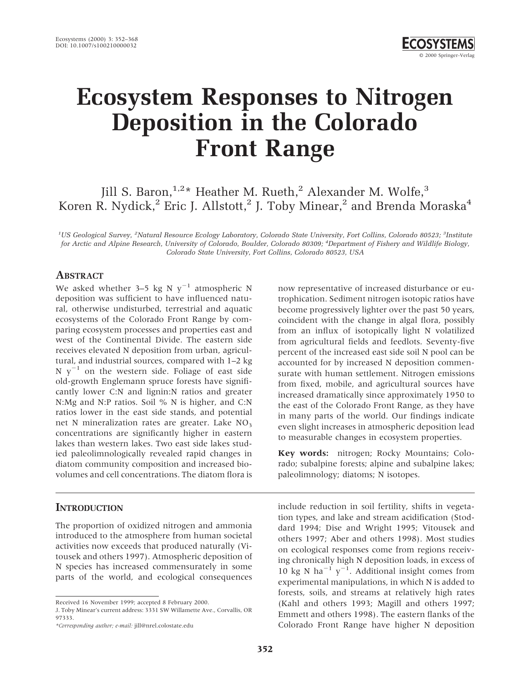# **Ecosystem Responses to Nitrogen Deposition in the Colorado Front Range**

## Jill S. Baron,<sup>1,2</sup>\* Heather M. Rueth,<sup>2</sup> Alexander M. Wolfe,<sup>3</sup> Koren R. Nydick,<sup>2</sup> Eric J. Allstott,<sup>2</sup> J. Toby Minear,<sup>2</sup> and Brenda Moraska<sup>4</sup>

*1 US Geological Survey, <sup>2</sup> Natural Resource Ecology Laboratory, Colorado State University, Fort Collins, Colorado 80523; <sup>3</sup> Institute for Arctic and Alpine Research, University of Colorado, Boulder, Colorado 80309; <sup>4</sup> Department of Fishery and Wildlife Biology, Colorado State University, Fort Collins, Colorado 80523, USA*

## **ABSTRACT**

We asked whether 3–5 kg N  $y^{-1}$  atmospheric N deposition was sufficient to have influenced natural, otherwise undisturbed, terrestrial and aquatic ecosystems of the Colorado Front Range by comparing ecosystem processes and properties east and west of the Continental Divide. The eastern side receives elevated N deposition from urban, agricultural, and industrial sources, compared with 1–2 kg N  $y^{-1}$  on the western side. Foliage of east side old-growth Englemann spruce forests have significantly lower C:N and lignin:N ratios and greater N:Mg and N:P ratios. Soil % N is higher, and C:N ratios lower in the east side stands, and potential net N mineralization rates are greater. Lake  $NO<sub>3</sub>$ concentrations are significantly higher in eastern lakes than western lakes. Two east side lakes studied paleolimnologically revealed rapid changes in diatom community composition and increased biovolumes and cell concentrations. The diatom flora is

## **INTRODUCTION**

The proportion of oxidized nitrogen and ammonia introduced to the atmosphere from human societal activities now exceeds that produced naturally (Vitousek and others 1997). Atmospheric deposition of N species has increased commensurately in some parts of the world, and ecological consequences

now representative of increased disturbance or eutrophication. Sediment nitrogen isotopic ratios have become progressively lighter over the past 50 years, coincident with the change in algal flora, possibly from an influx of isotopically light N volatilized from agricultural fields and feedlots. Seventy-five percent of the increased east side soil N pool can be accounted for by increased N deposition commensurate with human settlement. Nitrogen emissions from fixed, mobile, and agricultural sources have increased dramatically since approximately 1950 to the east of the Colorado Front Range, as they have in many parts of the world. Our findings indicate even slight increases in atmospheric deposition lead to measurable changes in ecosystem properties.

**Key words:** nitrogen; Rocky Mountains; Colorado; subalpine forests; alpine and subalpine lakes; paleolimnology; diatoms; N isotopes.

include reduction in soil fertility, shifts in vegetation types, and lake and stream acidification (Stoddard 1994; Dise and Wright 1995; Vitousek and others 1997; Aber and others 1998). Most studies on ecological responses come from regions receiving chronically high N deposition loads, in excess of 10 kg N ha<sup>-1</sup> y<sup>-1</sup>. Additional insight comes from experimental manipulations, in which N is added to forests, soils, and streams at relatively high rates (Kahl and others 1993; Magill and others 1997; Emmett and others 1998). The eastern flanks of the Colorado Front Range have higher N deposition

Received 16 November 1999; accepted 8 February 2000.

J. Toby Minear's current address: 3331 SW Willamette Ave., Corvallis, OR 97333.

*<sup>\*</sup>Corresponding author; e-mail:* jill@nrel.colostate.edu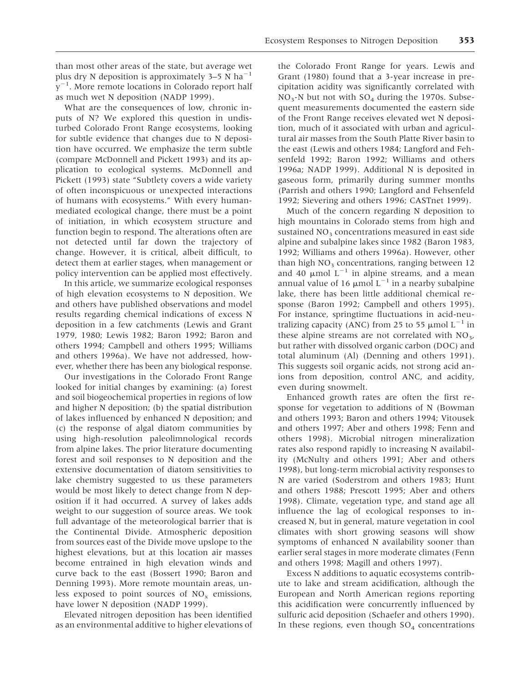than most other areas of the state, but average wet plus dry N deposition is approximately  $3-5$  N ha<sup>-1</sup>  $y^{-1}$ . More remote locations in Colorado report half as much wet N deposition (NADP 1999).

What are the consequences of low, chronic inputs of N? We explored this question in undisturbed Colorado Front Range ecosystems, looking for subtle evidence that changes due to N deposition have occurred. We emphasize the term subtle (compare McDonnell and Pickett 1993) and its application to ecological systems. McDonnell and Pickett (1993) state "Subtlety covers a wide variety of often inconspicuous or unexpected interactions of humans with ecosystems." With every humanmediated ecological change, there must be a point of initiation, in which ecosystem structure and function begin to respond. The alterations often are not detected until far down the trajectory of change. However, it is critical, albeit difficult, to detect them at earlier stages, when management or policy intervention can be applied most effectively.

In this article, we summarize ecological responses of high elevation ecosystems to N deposition. We and others have published observations and model results regarding chemical indications of excess N deposition in a few catchments (Lewis and Grant 1979, 1980; Lewis 1982; Baron 1992; Baron and others 1994; Campbell and others 1995; Williams and others 1996a). We have not addressed, however, whether there has been any biological response.

Our investigations in the Colorado Front Range looked for initial changes by examining: (a) forest and soil biogeochemical properties in regions of low and higher N deposition; (b) the spatial distribution of lakes influenced by enhanced N deposition; and (c) the response of algal diatom communities by using high-resolution paleolimnological records from alpine lakes. The prior literature documenting forest and soil responses to N deposition and the extensive documentation of diatom sensitivities to lake chemistry suggested to us these parameters would be most likely to detect change from N deposition if it had occurred. A survey of lakes adds weight to our suggestion of source areas. We took full advantage of the meteorological barrier that is the Continental Divide. Atmospheric deposition from sources east of the Divide move upslope to the highest elevations, but at this location air masses become entrained in high elevation winds and curve back to the east (Bossert 1990; Baron and Denning 1993). More remote mountain areas, unless exposed to point sources of  $NO<sub>x</sub>$  emissions, have lower N deposition (NADP 1999).

Elevated nitrogen deposition has been identified as an environmental additive to higher elevations of the Colorado Front Range for years. Lewis and Grant (1980) found that a 3-year increase in precipitation acidity was significantly correlated with  $NO<sub>3</sub>$ -N but not with  $SO<sub>4</sub>$  during the 1970s. Subsequent measurements documented the eastern side of the Front Range receives elevated wet N deposition, much of it associated with urban and agricultural air masses from the South Platte River basin to the east (Lewis and others 1984; Langford and Fehsenfeld 1992; Baron 1992; Williams and others 1996a; NADP 1999). Additional N is deposited in gaseous form, primarily during summer months (Parrish and others 1990; Langford and Fehsenfeld 1992; Sievering and others 1996; CASTnet 1999).

Much of the concern regarding N deposition to high mountains in Colorado stems from high and sustained  $NO<sub>3</sub>$  concentrations measured in east side alpine and subalpine lakes since 1982 (Baron 1983, 1992; Williams and others 1996a). However, other than high  $NO<sub>3</sub>$  concentrations, ranging between 12 and 40  $\mu$ mol  $L^{-1}$  in alpine streams, and a mean annual value of 16  $\mu$ mol L<sup>-1</sup> in a nearby subalpine lake, there has been little additional chemical response (Baron 1992; Campbell and others 1995). For instance, springtime fluctuations in acid-neutralizing capacity (ANC) from 25 to 55  $\mu$ mol L<sup>-1</sup> in these alpine streams are not correlated with  $NO<sub>3</sub>$ , but rather with dissolved organic carbon (DOC) and total aluminum (Al) (Denning and others 1991). This suggests soil organic acids, not strong acid anions from deposition, control ANC, and acidity, even during snowmelt.

Enhanced growth rates are often the first response for vegetation to additions of N (Bowman and others 1993; Baron and others 1994; Vitousek and others 1997; Aber and others 1998; Fenn and others 1998). Microbial nitrogen mineralization rates also respond rapidly to increasing N availability (McNulty and others 1991; Aber and others 1998), but long-term microbial activity responses to N are varied (Soderstrom and others 1983; Hunt and others 1988; Prescott 1995; Aber and others 1998). Climate, vegetation type, and stand age all influence the lag of ecological responses to increased N, but in general, mature vegetation in cool climates with short growing seasons will show symptoms of enhanced N availability sooner than earlier seral stages in more moderate climates (Fenn and others 1998; Magill and others 1997).

Excess N additions to aquatic ecosystems contribute to lake and stream acidification, although the European and North American regions reporting this acidification were concurrently influenced by sulfuric acid deposition (Schaefer and others 1990). In these regions, even though  $SO<sub>4</sub>$  concentrations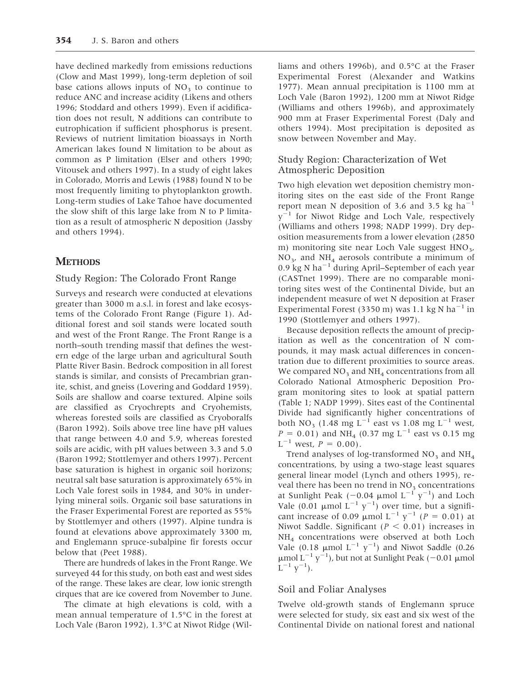have declined markedly from emissions reductions (Clow and Mast 1999), long-term depletion of soil base cations allows inputs of  $NO<sub>3</sub>$  to continue to reduce ANC and increase acidity (Likens and others 1996; Stoddard and others 1999). Even if acidification does not result, N additions can contribute to eutrophication if sufficient phosphorus is present. Reviews of nutrient limitation bioassays in North American lakes found N limitation to be about as common as P limitation (Elser and others 1990; Vitousek and others 1997). In a study of eight lakes in Colorado, Morris and Lewis (1988) found N to be most frequently limiting to phytoplankton growth. Long-term studies of Lake Tahoe have documented the slow shift of this large lake from N to P limitation as a result of atmospheric N deposition (Jassby and others 1994).

## **METHODS**

## Study Region: The Colorado Front Range

Surveys and research were conducted at elevations greater than 3000 m a.s.l. in forest and lake ecosystems of the Colorado Front Range (Figure 1). Additional forest and soil stands were located south and west of the Front Range. The Front Range is a north–south trending massif that defines the western edge of the large urban and agricultural South Platte River Basin. Bedrock composition in all forest stands is similar, and consists of Precambrian granite, schist, and gneiss (Lovering and Goddard 1959). Soils are shallow and coarse textured. Alpine soils are classified as Cryochrepts and Cryohemists, whereas forested soils are classified as Cryoboralfs (Baron 1992). Soils above tree line have pH values that range between 4.0 and 5.9, whereas forested soils are acidic, with pH values between 3.3 and 5.0 (Baron 1992; Stottlemyer and others 1997). Percent base saturation is highest in organic soil horizons; neutral salt base saturation is approximately 65% in Loch Vale forest soils in 1984, and 30% in underlying mineral soils. Organic soil base saturations in the Fraser Experimental Forest are reported as 55% by Stottlemyer and others (1997). Alpine tundra is found at elevations above approximately 3300 m, and Englemann spruce-subalpine fir forests occur below that (Peet 1988).

There are hundreds of lakes in the Front Range. We surveyed 44 for this study, on both east and west sides of the range. These lakes are clear, low ionic strength cirques that are ice covered from November to June.

The climate at high elevations is cold, with a mean annual temperature of 1.5°C in the forest at Loch Vale (Baron 1992), 1.3°C at Niwot Ridge (Williams and others 1996b), and 0.5°C at the Fraser Experimental Forest (Alexander and Watkins 1977). Mean annual precipitation is 1100 mm at Loch Vale (Baron 1992), 1200 mm at Niwot Ridge (Williams and others 1996b), and approximately 900 mm at Fraser Experimental Forest (Daly and others 1994). Most precipitation is deposited as snow between November and May.

## Study Region: Characterization of Wet Atmospheric Deposition

Two high elevation wet deposition chemistry monitoring sites on the east side of the Front Range report mean N deposition of 3.6 and 3.5 kg ha<sup> $-1$ </sup>  $y^{-1}$  for Niwot Ridge and Loch Vale, respectively (Williams and others 1998; NADP 1999). Dry deposition measurements from a lower elevation (2850 m) monitoring site near Loch Vale suggest  $HNO<sub>3</sub>$ ,  $NO<sub>3</sub>$ , and  $NH<sub>4</sub>$  aerosols contribute a minimum of 0.9 kg N ha<sup> $-1$ </sup> during April–September of each year (CASTnet 1999). There are no comparable monitoring sites west of the Continental Divide, but an independent measure of wet N deposition at Fraser Experimental Forest (3350 m) was 1.1 kg N ha<sup>-1</sup> in 1990 (Stottlemyer and others 1997).

Because deposition reflects the amount of precipitation as well as the concentration of N compounds, it may mask actual differences in concentration due to different proximities to source areas. We compared  $NO<sub>3</sub>$  and  $NH<sub>4</sub>$  concentrations from all Colorado National Atmospheric Deposition Program monitoring sites to look at spatial pattern (Table 1; NADP 1999). Sites east of the Continental Divide had significantly higher concentrations of both NO<sub>3</sub> (1.48 mg L<sup>-1</sup> east vs 1.08 mg L<sup>-1</sup> west,  $P = 0.01$ ) and NH<sub>4</sub> (0.37 mg L<sup>-1</sup> east vs 0.15 mg  $L^{-1}$  west,  $P = 0.00$ ).

Trend analyses of log-transformed  $NO<sub>3</sub>$  and  $NH<sub>4</sub>$ concentrations, by using a two-stage least squares general linear model (Lynch and others 1995), reveal there has been no trend in  $NO<sub>3</sub>$  concentrations at Sunlight Peak ( $-0.04$   $\mu$ mol  $L^{-1}$   $y^{-1})$  and Loch Vale (0.01  $\mu$ mol L<sup>-1</sup> y<sup>-1</sup>) over time, but a significant increase of 0.09  $\mu$ mol L<sup>-1</sup> y<sup>-1</sup> (*P* = 0.01) at Niwot Saddle. Significant ( $P < 0.01$ ) increases in NH4 concentrations were observed at both Loch Vale (0.18  $\mu$ mol L<sup>-1</sup> y<sup>-1</sup>) and Niwot Saddle (0.26  $\mu$ mol L<sup>-1</sup> y<sup>-1</sup>), but not at Sunlight Peak (-0.01  $\mu$ mol  $L^{-1}$   $y^{-1}$ ).

## Soil and Foliar Analyses

Twelve old-growth stands of Englemann spruce were selected for study, six east and six west of the Continental Divide on national forest and national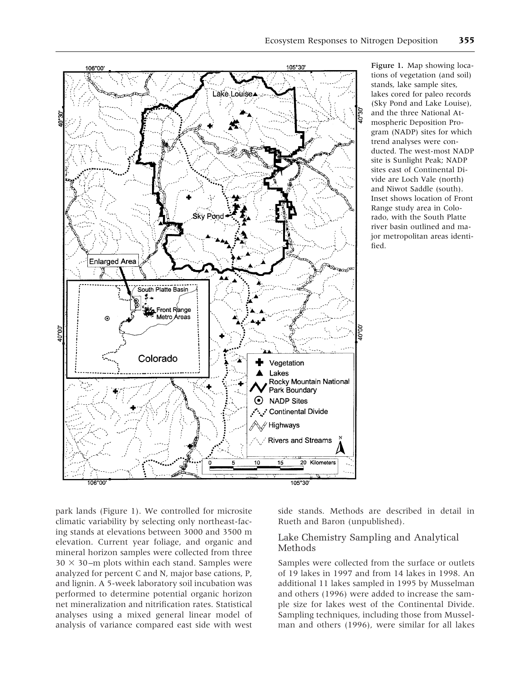

Figure 1. Map showing locations of vegetation (and soil) stands, lake sample sites, lakes cored for paleo records (Sky Pond and Lake Louise), and the three National Atmospheric Deposition Program (NADP) sites for which trend analyses were conducted. The west-most NADP site is Sunlight Peak; NADP sites east of Continental Divide are Loch Vale (north) and Niwot Saddle (south). Inset shows location of Front Range study area in Colorado, with the South Platte river basin outlined and major metropolitan areas identified.

park lands (Figure 1). We controlled for microsite climatic variability by selecting only northeast-facing stands at elevations between 3000 and 3500 m elevation. Current year foliage, and organic and mineral horizon samples were collected from three  $30 \times 30$ –m plots within each stand. Samples were analyzed for percent C and N, major base cations, P, and lignin. A 5-week laboratory soil incubation was performed to determine potential organic horizon net mineralization and nitrification rates. Statistical analyses using a mixed general linear model of analysis of variance compared east side with west

106°00

side stands. Methods are described in detail in Rueth and Baron (unpublished).

## Lake Chemistry Sampling and Analytical Methods

20 Kilometers

105°30

 $10$ 

 $\overline{15}$ 

Samples were collected from the surface or outlets of 19 lakes in 1997 and from 14 lakes in 1998. An additional 11 lakes sampled in 1995 by Musselman and others (1996) were added to increase the sample size for lakes west of the Continental Divide. Sampling techniques, including those from Musselman and others (1996), were similar for all lakes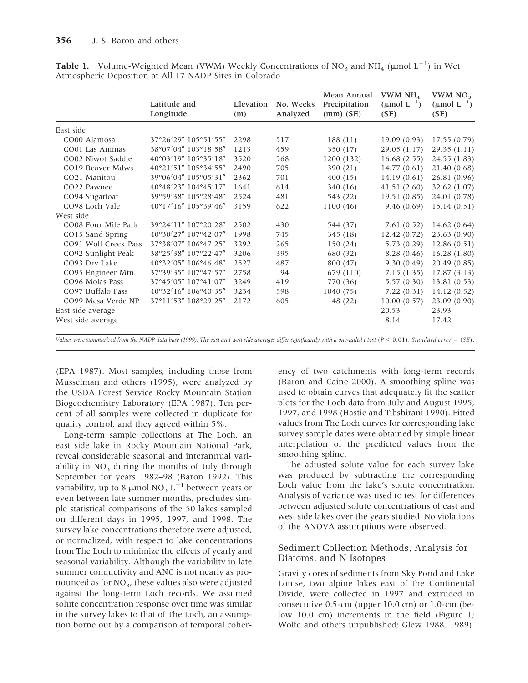|                      | Latitude and<br>Longitude | Elevation<br>(m) | No. Weeks<br>Analyzed | Mean Annual<br>Precipitation<br>$(mm)$ (SE) | VWM NH <sub>4</sub><br>$(\mu \text{mol } L^{-1})$<br>(SE) | VWM $NO3$<br>$(\mu \text{mol } L^{-1})$<br>(SE) |
|----------------------|---------------------------|------------------|-----------------------|---------------------------------------------|-----------------------------------------------------------|-------------------------------------------------|
| East side            |                           |                  |                       |                                             |                                                           |                                                 |
| CO00 Alamosa         | 37°26'29" 105°51'55"      | 2298             | 517                   | 188(11)                                     | 19.09(0.93)                                               | 17.55(0.79)                                     |
| CO01 Las Animas      | 38°07'04" 103°18'58"      | 1213             | 459                   | 350 (17)                                    | 29.05 (1.17)                                              | 29.35(1.11)                                     |
| CO02 Niwot Saddle    | 40°03'19" 105°35'18"      | 3520             | 568                   | 1200 (132)                                  | 16.68(2.55)                                               | 24.55 (1.83)                                    |
| CO19 Beaver Mdws     | 40°21'51" 105°34'55"      | 2490             | 705                   | 390 (21)                                    | 14.77(0.61)                                               | 21.40 (0.68)                                    |
| CO21 Manitou         | 39°06'04" 105°05'31"      | 2362             | 701                   | 400(15)                                     | 14.19(0.61)                                               | 26.81 (0.96)                                    |
| CO22 Pawnee          | 40°48'23" 104°45'17"      | 1641             | 614                   | 340 (16)                                    | 41.51(2.60)                                               | 32.62 (1.07)                                    |
| CO94 Sugarloaf       | 39°59'38" 105°28'48"      | 2524             | 481                   | 543 (22)                                    | 19.51(0.85)                                               | 24.01 (0.78)                                    |
| CO98 Loch Vale       | 40°17'16" 105°39'46"      | 3159             | 622                   | 1100(46)                                    | 9.46(0.69)                                                | 15.14(0.51)                                     |
| West side            |                           |                  |                       |                                             |                                                           |                                                 |
| CO08 Four Mile Park  | 39°24'11" 107°20'28"      | 2502             | 430                   | 544 (37)                                    | 7.61(0.52)                                                | 14.62(0.64)                                     |
| CO15 Sand Spring     | 40°30'27" 107°42'07"      | 1998             | 745                   | 345(18)                                     | 12.42(0.72)                                               | 23.63 (0.90)                                    |
| CO91 Wolf Creek Pass | 37°38'07" 106°47'25"      | 3292             | 265                   | 150 (24)                                    | 5.73(0.29)                                                | 12.86(0.51)                                     |
| CO92 Sunlight Peak   | 38°25'38" 107°22'47"      | 3206             | 395                   | 680 (32)                                    | 8.28(0.46)                                                | 16.28(1.80)                                     |
| CO93 Dry Lake        | 40°32'05" 106°46'48"      | 2527             | 487                   | 800 (47)                                    | 9.30(0.49)                                                | 20.49 (0.85)                                    |
| CO95 Engineer Mtn.   | 37°39'35" 107°47'57"      | 2758             | 94                    | 679 (110)                                   | 7.15(1.35)                                                | 17.87(3.13)                                     |
| CO96 Molas Pass      | 37°45'05" 107°41'07"      | 3249             | 419                   | 770 (36)                                    | 5.57(0.30)                                                | 13.81 (0.53)                                    |
| CO97 Buffalo Pass    | 40°32'16" 106°40'35"      | 3234             | 598                   | 1040(75)                                    | 7.22(0.31)                                                | 14.12(0.52)                                     |
| CO99 Mesa Verde NP   | 37°11'53" 108°29'25"      | 2172             | 605                   | 48 (22)                                     | 10.00(0.57)                                               | 23.09 (0.90)                                    |
| East side average    |                           |                  |                       |                                             | 20.53                                                     | 23.93                                           |
| West side average    |                           |                  |                       |                                             | 8.14                                                      | 17.42                                           |

**Table 1.** Volume-Weighted Mean (VWM) Weekly Concentrations of  $NO<sub>3</sub>$  and  $NH<sub>4</sub>$  ( $\mu$ mol  $L^{-1}$ ) in Wet Atmospheric Deposition at All 17 NADP Sites in Colorado

*Values were summarized from the NADP data base (1999). The east and west side averages differ significantly with a one-tailed t test* ( $P < 0.01$ ). *Standard error* = (*SE*).

(EPA 1987). Most samples, including those from Musselman and others (1995), were analyzed by the USDA Forest Service Rocky Mountain Station Biogeochemistry Laboratory (EPA 1987). Ten percent of all samples were collected in duplicate for quality control, and they agreed within 5%.

Long-term sample collections at The Loch, an east side lake in Rocky Mountain National Park, reveal considerable seasonal and interannual variability in  $NO<sub>3</sub>$  during the months of July through September for years 1982–98 (Baron 1992). This variability, up to 8  $\mu$ mol NO<sub>3</sub> L<sup>-1</sup> between years or even between late summer months, precludes simple statistical comparisons of the 50 lakes sampled on different days in 1995, 1997, and 1998. The survey lake concentrations therefore were adjusted, or normalized, with respect to lake concentrations from The Loch to minimize the effects of yearly and seasonal variability. Although the variability in late summer conductivity and ANC is not nearly as pronounced as for  $NO<sub>3</sub>$ , these values also were adjusted against the long-term Loch records. We assumed solute concentration response over time was similar in the survey lakes to that of The Loch, an assumption borne out by a comparison of temporal coher-

ency of two catchments with long-term records (Baron and Caine 2000). A smoothing spline was used to obtain curves that adequately fit the scatter plots for the Loch data from July and August 1995, 1997, and 1998 (Hastie and Tibshirani 1990). Fitted values from The Loch curves for corresponding lake survey sample dates were obtained by simple linear interpolation of the predicted values from the smoothing spline.

The adjusted solute value for each survey lake was produced by subtracting the corresponding Loch value from the lake's solute concentration. Analysis of variance was used to test for differences between adjusted solute concentrations of east and west side lakes over the years studied. No violations of the ANOVA assumptions were observed.

## Sediment Collection Methods, Analysis for Diatoms, and N Isotopes

Gravity cores of sediments from Sky Pond and Lake Louise, two alpine lakes east of the Continental Divide, were collected in 1997 and extruded in consecutive 0.5-cm (upper 10.0 cm) or 1.0-cm (below 10.0 cm) increments in the field (Figure 1; Wolfe and others unpublished; Glew 1988, 1989).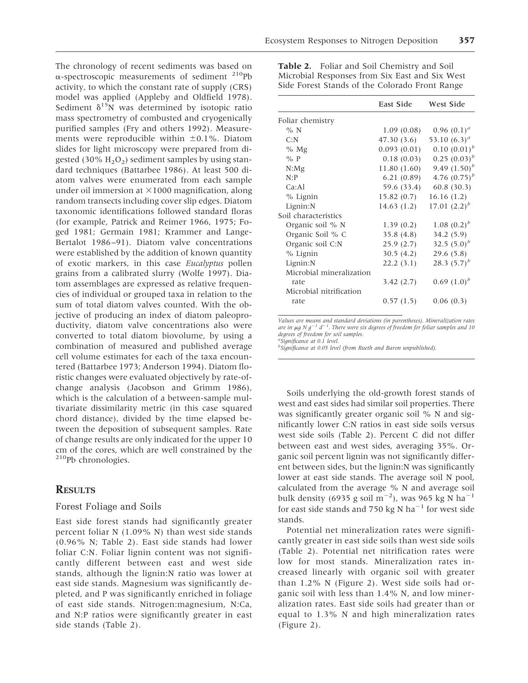The chronology of recent sediments was based on  $\alpha$ -spectroscopic measurements of sediment <sup>210</sup>Pb activity, to which the constant rate of supply (CRS) model was applied (Appleby and Oldfield 1978). Sediment  $\delta^{15}N$  was determined by isotopic ratio mass spectrometry of combusted and cryogenically purified samples (Fry and others 1992). Measurements were reproducible within  $\pm 0.1$ %. Diatom slides for light microscopy were prepared from digested (30%  $H_2O_2$ ) sediment samples by using standard techniques (Battarbee 1986). At least 500 diatom valves were enumerated from each sample under oil immersion at  $\times$ 1000 magnification, along random transects including cover slip edges. Diatom taxonomic identifications followed standard floras (for example, Patrick and Reimer 1966, 1975; Foged 1981; Germain 1981; Krammer and Lange-Bertalot 1986–91). Diatom valve concentrations were established by the addition of known quantity of exotic markers, in this case *Eucalyptus* pollen grains from a calibrated slurry (Wolfe 1997). Diatom assemblages are expressed as relative frequencies of individual or grouped taxa in relation to the sum of total diatom valves counted. With the objective of producing an index of diatom paleoproductivity, diatom valve concentrations also were converted to total diatom biovolume, by using a combination of measured and published average cell volume estimates for each of the taxa encountered (Battarbee 1973; Anderson 1994). Diatom floristic changes were evaluated objectively by rate-ofchange analysis (Jacobson and Grimm 1986), which is the calculation of a between-sample multivariate dissimilarity metric (in this case squared chord distance), divided by the time elapsed between the deposition of subsequent samples. Rate

## **RESULTS**

210Pb chronologies.

## Forest Foliage and Soils

East side forest stands had significantly greater percent foliar N (1.09% N) than west side stands (0.96% N; Table 2). East side stands had lower foliar C:N. Foliar lignin content was not significantly different between east and west side stands, although the lignin:N ratio was lower at east side stands. Magnesium was significantly depleted, and P was significantly enriched in foliage of east side stands. Nitrogen:magnesium, N:Ca, and N:P ratios were significantly greater in east side stands (Table 2).

of change results are only indicated for the upper 10 cm of the cores, which are well constrained by the **Table 2.** Foliar and Soil Chemistry and Soil Microbial Responses from Six East and Six West Side Forest Stands of the Colorado Front Range

|                          | East Side   | West Side         |
|--------------------------|-------------|-------------------|
| Foliar chemistry         |             |                   |
| % N                      | 1.09(0.08)  | $0.96(0.1)^a$     |
| C: N                     | 47.30 (3.6) | 53.10 $(6.3)^{a}$ |
| $%$ Mg                   | 0.093(0.01) | $0.10(0.01)^{b}$  |
| $\%$ P                   | 0.18(0.03)  | $0.25(0.03)^{b}$  |
| $N:$ Mg                  | 11.80(1.60) | 9.49 $(1.50)^{b}$ |
| N: P                     | 6.21(0.89)  | 4.76 $(0.75)^{b}$ |
| Ca:Al                    | 59.6 (33.4) | 60.8(30.3)        |
| % Lignin                 | 15.82(0.7)  | 16.16(1.2)        |
| Lignin:N                 | 14.63(1.2)  | 17.01 $(2.2)^{b}$ |
| Soil characteristics     |             |                   |
| Organic soil % N         | 1.39(0.2)   | 1.08 $(0.2)^b$    |
| Organic Soil % C         | 35.8(4.8)   | 34.2(5.9)         |
| Organic soil C:N         | 25.9(2.7)   | 32.5 $(5.0)^b$    |
| $%$ Lignin               | 30.5(4.2)   | 29.6(5.8)         |
| Lignin:N                 | 22.2(3.1)   | 28.3 $(5.7)^b$    |
| Microbial mineralization |             |                   |
| rate                     | 3.42(2.7)   | $0.69(1.0)^{b}$   |
| Microbial nitrification  |             |                   |
| rate                     | 0.57(1.5)   | 0.06(0.3)         |

*Values are means and standard deviations (in parentheses). Mineralization rates are in* <sup>m</sup>*gNg*2*<sup>1</sup> d*2*<sup>1</sup> . There were six degrees of freedom for foliar samples and 10 degrees of freedom for soil samples. a Significance at 0.1 level.*

*b Significance at 0.05 level (from Rueth and Baron unpublished).*

Soils underlying the old-growth forest stands of west and east sides had similar soil properties. There was significantly greater organic soil % N and significantly lower C:N ratios in east side soils versus west side soils (Table 2). Percent C did not differ between east and west sides, averaging 35%. Organic soil percent lignin was not significantly different between sides, but the lignin:N was significantly lower at east side stands. The average soil N pool, calculated from the average % N and average soil bulk density (6935 g soil m<sup>-2</sup>), was 965 kg N ha<sup>-1</sup> for east side stands and 750 kg N ha<sup>-1</sup> for west side stands.

Potential net mineralization rates were significantly greater in east side soils than west side soils (Table 2). Potential net nitrification rates were low for most stands. Mineralization rates increased linearly with organic soil with greater than 1.2% N (Figure 2). West side soils had organic soil with less than 1.4% N, and low mineralization rates. East side soils had greater than or equal to 1.3% N and high mineralization rates (Figure 2).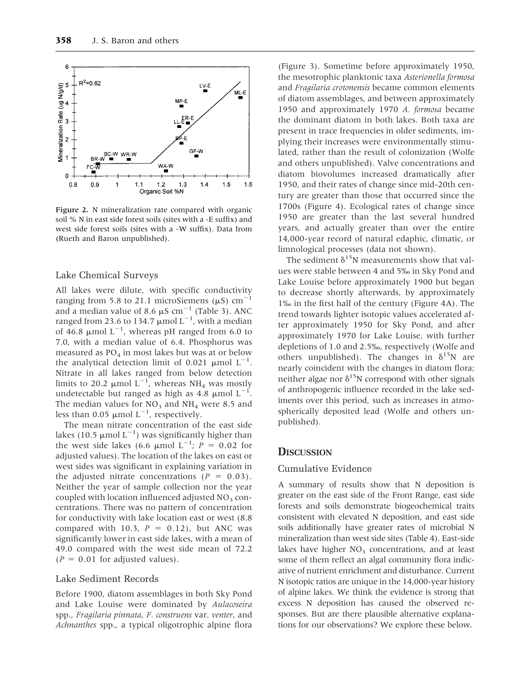

Figure 2. N mineralization rate compared with organic soil % N in east side forest soils (sites with a -E suffix) and west side forest soils (sites with a -W suffix). Data from (Rueth and Baron unpublished).

#### Lake Chemical Surveys

All lakes were dilute, with specific conductivity ranging from 5.8 to 21.1 microSiemens ( $\mu$ S) cm<sup>-1</sup> and a median value of 8.6  $\mu$ S cm<sup>-1</sup> (Table 3). ANC ranged from 23.6 to 134.7  $\mu$ mol L<sup>-1</sup>, with a median of 46.8  $\mu$ mol L<sup>-1</sup>, whereas pH ranged from 6.0 to 7.0, with a median value of 6.4. Phosphorus was measured as  $PO_4$  in most lakes but was at or below the analytical detection limit of 0.021  $\mu$ mol L<sup>-1</sup>. Nitrate in all lakes ranged from below detection limits to 20.2  $\mu$ mol L<sup>-1</sup>, whereas NH<sub>4</sub> was mostly undetectable but ranged as high as 4.8  $\mu$ mol L<sup>-1</sup>. The median values for  $NO<sub>3</sub>$  and  $NH<sub>4</sub>$  were 8.5 and less than 0.05  $\mu$ mol L<sup>-1</sup>, respectively.

The mean nitrate concentration of the east side lakes (10.5  $\mu$ mol L<sup>-1</sup>) was significantly higher than the west side lakes (6.6  $\mu$ mol L<sup>-1</sup>; *P* = 0.02 for adjusted values). The location of the lakes on east or west sides was significant in explaining variation in the adjusted nitrate concentrations  $(P = 0.03)$ . Neither the year of sample collection nor the year coupled with location influenced adjusted  $NO<sub>3</sub>$  concentrations. There was no pattern of concentration for conductivity with lake location east or west (8.8 compared with 10.3,  $P = 0.12$ ), but ANC was significantly lower in east side lakes, with a mean of 49.0 compared with the west side mean of 72.2  $(P = 0.01$  for adjusted values).

#### Lake Sediment Records

Before 1900, diatom assemblages in both Sky Pond and Lake Louise were dominated by *Aulacoseira* spp., *Fragilaria pinnata*, *F. construens* var. *venter*, and *Achnanthes* spp., a typical oligotrophic alpine flora

(Figure 3). Sometime before approximately 1950, the mesotrophic planktonic taxa *Asterionella formosa* and *Fragilaria crotonensis* became common elements of diatom assemblages, and between approximately 1950 and approximately 1970 *A. formosa* became the dominant diatom in both lakes. Both taxa are present in trace frequencies in older sediments, implying their increases were environmentally stimulated, rather than the result of colonization (Wolfe and others unpublished). Valve concentrations and diatom biovolumes increased dramatically after 1950, and their rates of change since mid-20th century are greater than those that occurred since the 1700s (Figure 4). Ecological rates of change since 1950 are greater than the last several hundred years, and actually greater than over the entire 14,000-year record of natural edaphic, climatic, or limnological processes (data not shown).

The sediment  $\delta^{15}N$  measurements show that values were stable between 4 and 5‰ in Sky Pond and Lake Louise before approximately 1900 but began to decrease shortly afterwards, by approximately 1‰ in the first half of the century (Figure 4A). The trend towards lighter isotopic values accelerated after approximately 1950 for Sky Pond, and after approximately 1970 for Lake Louise, with further depletions of 1.0 and 2.5‰, respectively (Wolfe and others unpublished). The changes in  $\delta^{15}N$  are nearly coincident with the changes in diatom flora; neither algae nor  $\delta^{15}N$  correspond with other signals of anthropogenic influence recorded in the lake sediments over this period, such as increases in atmospherically deposited lead (Wolfe and others unpublished).

#### **DISCUSSION**

#### Cumulative Evidence

A summary of results show that N deposition is greater on the east side of the Front Range, east side forests and soils demonstrate biogeochemical traits consistent with elevated N deposition, and east side soils additionally have greater rates of microbial N mineralization than west side sites (Table 4). East-side lakes have higher  $NO<sub>3</sub>$  concentrations, and at least some of them reflect an algal community flora indicative of nutrient enrichment and disturbance. Current N isotopic ratios are unique in the 14,000-year history of alpine lakes. We think the evidence is strong that excess N deposition has caused the observed responses. But are there plausible alternative explanations for our observations? We explore these below.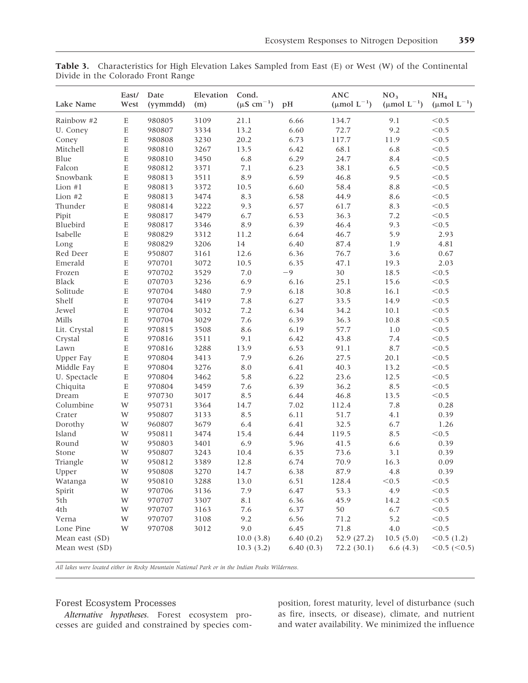| Lake Name      | East/<br>West             | Date<br>(yymmdd) | Elevation<br>(m) | Cond.<br>$(\mu S \text{ cm}^{-1})$ | pH        | $\mathbf{ANC}$<br>( $\mu$ mol L <sup>-1</sup> ) | NO <sub>3</sub><br>( $\mu$ mol L <sup>-1</sup> ) | NH <sub>4</sub><br>( $\mu$ mol L <sup>-1</sup> ) |  |
|----------------|---------------------------|------------------|------------------|------------------------------------|-----------|-------------------------------------------------|--------------------------------------------------|--------------------------------------------------|--|
| Rainbow #2     | $\mathbf E$               | 980805           | 3109             | 21.1                               | 6.66      | 134.7                                           | 9.1                                              | < 0.5                                            |  |
| U. Coney       | $\mathbf E$               | 980807           | 3334             | 13.2                               | 6.60      | 72.7                                            | 9.2                                              | < 0.5                                            |  |
| Coney          | $\boldsymbol{\mathrm{E}}$ | 980808           | 3230             | 20.2                               | 6.73      | 117.7                                           | 11.9                                             | < 0.5                                            |  |
| Mitchell       | E                         | 980810           | 3267             | 13.5                               | 6.42      | 68.1                                            | 6.8                                              | < 0.5                                            |  |
| Blue           | E                         | 980810           | 3450             | 6.8                                | 6.29      | 24.7                                            | 8.4                                              | < 0.5                                            |  |
| Falcon         | $\mathbf E$               | 980812           | 3371             | 7.1                                | 6.23      | 38.1                                            | 6.5                                              | < 0.5                                            |  |
| Snowbank       | E                         | 980813           | 3511             | 8.9                                | 6.59      | 46.8                                            | 9.5                                              | < 0.5                                            |  |
| Lion #1        | $\mathbf E$               | 980813           | 3372             | 10.5                               | 6.60      | 58.4                                            | $8.8\,$                                          | < 0.5                                            |  |
| Lion $#2$      | $\mathbf E$               | 980813           | 3474             | 8.3                                | 6.58      | 44.9                                            | 8.6                                              | < 0.5                                            |  |
| Thunder        | E                         | 980814           | 3222             | 9.3                                | 6.57      | 61.7                                            | 8.3                                              | < 0.5                                            |  |
| Pipit          | E                         | 980817           | 3479             | 6.7                                | 6.53      | 36.3                                            | 7.2                                              | < 0.5                                            |  |
| Bluebird       | $\mathbf E$               | 980817           | 3346             | 8.9                                | 6.39      | 46.4                                            | 9.3                                              | < 0.5                                            |  |
| Isabelle       | $\boldsymbol{\mathrm{E}}$ | 980829           | 3312             | 11.2                               | 6.64      | 46.7                                            | 5.9                                              | 2.93                                             |  |
| Long           | $\mathbf E$               | 980829           | 3206             | 14                                 | 6.40      | 87.4                                            | 1.9                                              | 4.81                                             |  |
| Red Deer       | $\mathbf E$               | 950807           | 3161             | 12.6                               | 6.36      | 76.7                                            | 3.6                                              | 0.67                                             |  |
| Emerald        | $\boldsymbol{\mathrm{E}}$ | 970701           | 3072             | 10.5                               | 6.35      | 47.1                                            | 19.3                                             | 2.03                                             |  |
| Frozen         | $\mathbf E$               | 970702           | 3529             | $7.0\,$                            | $-9$      | 30                                              | 18.5                                             | < 0.5                                            |  |
| Black          | $\mathbf E$               | 070703           | 3236             | 6.9                                | 6.16      | 25.1                                            | 15.6                                             | < 0.5                                            |  |
| Solitude       | $\mathbf E$               | 970704           | 3480             | 7.9                                | 6.18      | 30.8                                            | 16.1                                             | < 0.5                                            |  |
| Shelf          | $\mathbf E$               | 970704           | 3419             | 7.8                                | 6.27      | 33.5                                            | 14.9                                             | < 0.5                                            |  |
| Jewel          | $\mathbf E$               | 970704           | 3032             | 7.2                                | 6.34      | 34.2                                            | 10.1                                             | < 0.5                                            |  |
| Mills          | E                         | 970704           | 3029             | 7.6                                | 6.39      | 36.3                                            | 10.8                                             | < 0.5                                            |  |
| Lit. Crystal   | $\mathbf E$               | 970815           | 3508             | 8.6                                | 6.19      | 57.7                                            | 1.0                                              | < 0.5                                            |  |
| Crystal        | $\mathbf E$               | 970816           | 3511             | 9.1                                | 6.42      | 43.8                                            | 7.4                                              | < 0.5                                            |  |
| Lawn           | $\mathbf E$               | 970816           | 3288             | 13.9                               | 6.53      | 91.1                                            | 8.7                                              | < 0.5                                            |  |
| Upper Fay      | $\mathbf E$               | 970804           | 3413             | 7.9                                | 6.26      | 27.5                                            | 20.1                                             | < 0.5                                            |  |
| Middle Fay     | $\mathbf E$               | 970804           | 3276             | 8.0                                | 6.41      | 40.3                                            | 13.2                                             | < 0.5                                            |  |
| U. Spectacle   | E                         | 970804           | 3462             | 5.8                                | 6.22      | 23.6                                            | 12.5                                             | < 0.5                                            |  |
| Chiquita       | E                         | 970804           | 3459             | 7.6                                | 6.39      | 36.2                                            | 8.5                                              | < 0.5                                            |  |
| Dream          | $\mathbf E$               | 970730           | 3017             | 8.5                                | 6.44      | 46.8                                            | 13.5                                             | < 0.5                                            |  |
| Columbine      | W                         | 950731           | 3364             | 14.7                               | 7.02      | 112.4                                           | 7.8                                              | 0.28                                             |  |
| Crater         | W                         | 950807           | 3133             | 8.5                                | 6.11      | 51.7                                            | 4.1                                              | 0.39                                             |  |
| Dorothy        | W                         | 960807           | 3679             | 6.4                                | 6.41      | 32.5                                            | 6.7                                              | 1.26                                             |  |
| Island         | W                         | 950811           | 3474             | 15.4                               | 6.44      | 119.5                                           | 8.5                                              | < 0.5                                            |  |
| Round          | W                         | 950803           | 3401             | 6.9                                | 5.96      | 41.5                                            | 6.6                                              | 0.39                                             |  |
| Stone          | W                         | 950807           | 3243             | 10.4                               | 6.35      | 73.6                                            | 3.1                                              | 0.39                                             |  |
| Triangle       | W                         | 950812           | 3389             | 12.8                               | 6.74      | 70.9                                            | 16.3                                             | 0.09                                             |  |
| Upper          | W                         | 950808           | 3270             | 14.7                               | 6.38      | 87.9                                            | 4.8                                              | 0.39                                             |  |
| Watanga        | W                         | 950810           | 3288             | 13.0                               | 6.51      | 128.4                                           | < 0.5                                            | < 0.5                                            |  |
| Spirit         | W                         | 970706           | 3136             | 7.9                                | 6.47      | 53.3                                            | 4.9                                              | < 0.5                                            |  |
| 5th            | W                         | 970707           | 3307             | 8.1                                | 6.36      | 45.9                                            | 14.2                                             | < 0.5                                            |  |
| 4th            | W                         | 970707           | 3163             | 7.6                                | 6.37      | 50                                              | 6.7                                              | < 0.5                                            |  |
| Verna          | W                         | 970707           | 3108             | 9.2                                | 6.56      | 71.2                                            | 5.2                                              | < 0.5                                            |  |
| Lone Pine      | W                         | 970708           | 3012             | 9.0                                | 6.45      | 71.8                                            | 4.0                                              | < 0.5                                            |  |
| Mean east (SD) |                           |                  |                  | 10.0(3.8)                          | 6.40(0.2) | 52.9 (27.2)                                     | 10.5(5.0)                                        | < 0.5(1.2)                                       |  |
| Mean west (SD) |                           |                  |                  | 10.3(3.2)                          | 6.40(0.3) | 72.2(30.1)                                      | 6.6(4.3)                                         | $<$ 0.5 ( $<$ 0.5)                               |  |

**Table 3.** Characteristics for High Elevation Lakes Sampled from East (E) or West (W) of the Continental Divide in the Colorado Front Range

*All lakes were located either in Rocky Mountain National Park or in the Indian Peaks Wilderness.*

#### Forest Ecosystem Processes

*Alternative hypotheses.* Forest ecosystem processes are guided and constrained by species composition, forest maturity, level of disturbance (such as fire, insects, or disease), climate, and nutrient and water availability. We minimized the influence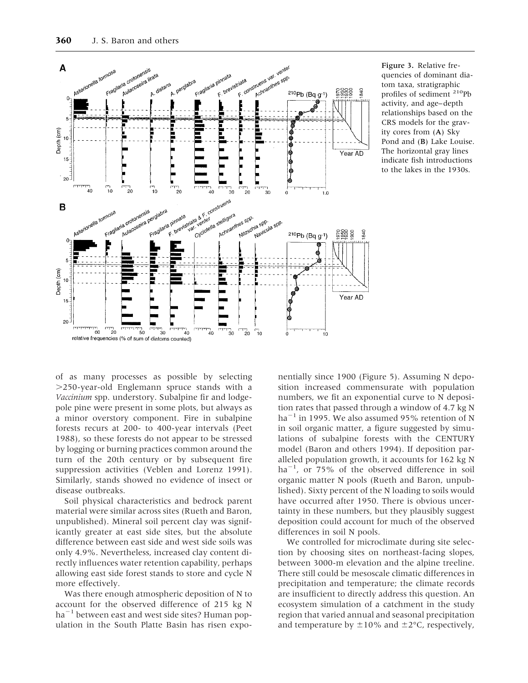

Figure 3. Relative frequencies of dominant diatom taxa, stratigraphic profiles of sediment 210Pb activity, and age–depth relationships based on the CRS models for the gravity cores from (A) Sky Pond and (B) Lake Louise. The horizontal gray lines indicate fish introductions to the lakes in the 1930s.

of as many processes as possible by selecting .250-year-old Englemann spruce stands with a *Vaccinium* spp. understory. Subalpine fir and lodgepole pine were present in some plots, but always as a minor overstory component. Fire in subalpine forests recurs at 200- to 400-year intervals (Peet 1988), so these forests do not appear to be stressed by logging or burning practices common around the turn of the 20th century or by subsequent fire suppression activities (Veblen and Lorenz 1991). Similarly, stands showed no evidence of insect or disease outbreaks.

Soil physical characteristics and bedrock parent material were similar across sites (Rueth and Baron, unpublished). Mineral soil percent clay was significantly greater at east side sites, but the absolute difference between east side and west side soils was only 4.9%. Nevertheless, increased clay content directly influences water retention capability, perhaps allowing east side forest stands to store and cycle N more effectively.

Was there enough atmospheric deposition of N to account for the observed difference of 215 kg N  $ha^{-1}$  between east and west side sites? Human population in the South Platte Basin has risen exponentially since 1900 (Figure 5). Assuming N deposition increased commensurate with population numbers, we fit an exponential curve to N deposition rates that passed through a window of 4.7 kg N  $ha^{-1}$  in 1995. We also assumed 95% retention of N in soil organic matter, a figure suggested by simulations of subalpine forests with the CENTURY model (Baron and others 1994). If deposition paralleled population growth, it accounts for 162 kg N ha<sup>-1</sup>, or 75% of the observed difference in soil organic matter N pools (Rueth and Baron, unpublished). Sixty percent of the N loading to soils would have occurred after 1950. There is obvious uncertainty in these numbers, but they plausibly suggest deposition could account for much of the observed differences in soil N pools.

We controlled for microclimate during site selection by choosing sites on northeast-facing slopes, between 3000-m elevation and the alpine treeline. There still could be mesoscale climatic differences in precipitation and temperature; the climate records are insufficient to directly address this question. An ecosystem simulation of a catchment in the study region that varied annual and seasonal precipitation and temperature by  $\pm 10\%$  and  $\pm 2\degree$ C, respectively,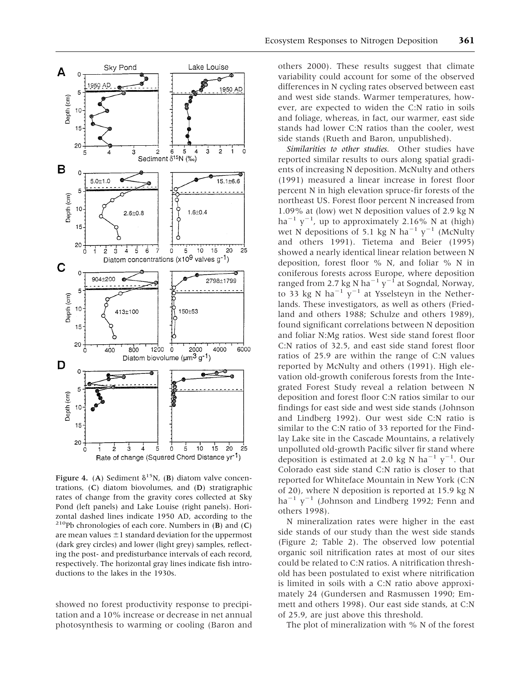

Figure 4. (A) Sediment  $\delta^{15}N$ , (B) diatom valve concentrations, (C) diatom biovolumes, and (D) stratigraphic rates of change from the gravity cores collected at Sky Pond (left panels) and Lake Louise (right panels). Horizontal dashed lines indicate 1950 AD, according to the <sup>210</sup>Pb chronologies of each core. Numbers in  $(B)$  and  $(C)$ are mean values  $\pm 1$  standard deviation for the uppermost (dark grey circles) and lower (light grey) samples, reflecting the post- and predisturbance intervals of each record, respectively. The horizontal gray lines indicate fish introductions to the lakes in the 1930s.

showed no forest productivity response to precipitation and a 10% increase or decrease in net annual photosynthesis to warming or cooling (Baron and

others 2000). These results suggest that climate variability could account for some of the observed differences in N cycling rates observed between east and west side stands. Warmer temperatures, however, are expected to widen the C:N ratio in soils and foliage, whereas, in fact, our warmer, east side stands had lower C:N ratios than the cooler, west side stands (Rueth and Baron, unpublished).

*Similarities to other studies.* Other studies have reported similar results to ours along spatial gradients of increasing N deposition. McNulty and others (1991) measured a linear increase in forest floor percent N in high elevation spruce-fir forests of the northeast US. Forest floor percent N increased from 1.09% at (low) wet N deposition values of 2.9 kg N  $ha^{-1}$   $y^{-1}$ , up to approximately 2.16% N at (high) wet N depositions of 5.1 kg N ha<sup>-1</sup> y<sup>-1</sup> (McNulty and others 1991). Tietema and Beier (1995) showed a nearly identical linear relation between N deposition, forest floor % N, and foliar % N in coniferous forests across Europe, where deposition ranged from 2.7 kg N ha<sup>-1</sup> y<sup>-1</sup> at Sogndal, Norway, to 33 kg N ha<sup>-1</sup> y<sup>-1</sup> at Ysselsteyn in the Netherlands. These investigators, as well as others (Friedland and others 1988; Schulze and others 1989), found significant correlations between N deposition and foliar N:Mg ratios. West side stand forest floor C:N ratios of 32.5, and east side stand forest floor ratios of 25.9 are within the range of C:N values reported by McNulty and others (1991). High elevation old-growth coniferous forests from the Integrated Forest Study reveal a relation between N deposition and forest floor C:N ratios similar to our findings for east side and west side stands (Johnson and Lindberg 1992). Our west side C:N ratio is similar to the C:N ratio of 33 reported for the Findlay Lake site in the Cascade Mountains, a relatively unpolluted old-growth Pacific silver fir stand where deposition is estimated at 2.0 kg N ha<sup>-1</sup>  $y^{-1}$ . Our Colorado east side stand C:N ratio is closer to that reported for Whiteface Mountain in New York (C:N of 20), where N deposition is reported at 15.9 kg N  $ha^{-1}$  y<sup>-1</sup> (Johnson and Lindberg 1992; Fenn and others 1998).

N mineralization rates were higher in the east side stands of our study than the west side stands (Figure 2; Table 2). The observed low potential organic soil nitrification rates at most of our sites could be related to C:N ratios. A nitrification threshold has been postulated to exist where nitrification is limited in soils with a C:N ratio above approximately 24 (Gundersen and Rasmussen 1990; Emmett and others 1998). Our east side stands, at C:N of 25.9, are just above this threshold.

The plot of mineralization with % N of the forest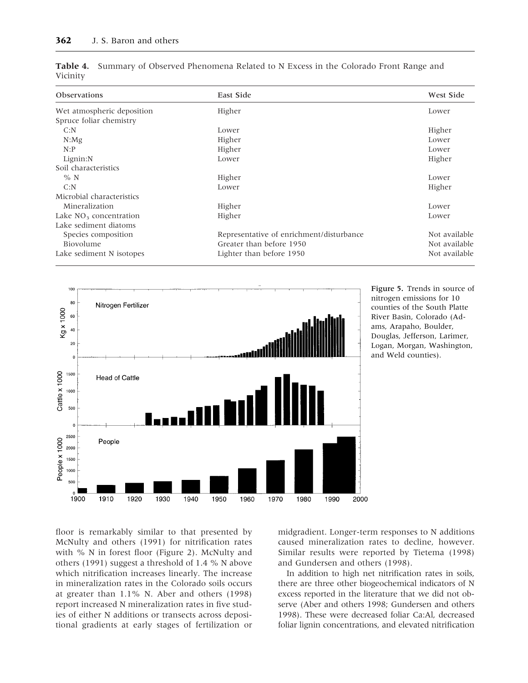| <b>Observations</b>        | East Side                                | West Side     |
|----------------------------|------------------------------------------|---------------|
| Wet atmospheric deposition | Higher                                   | Lower         |
| Spruce foliar chemistry    |                                          |               |
| C: N                       | Lower                                    | Higher        |
| $N:$ Mg                    | Higher                                   | Lower         |
| N:P                        | Higher                                   | Lower         |
| Lignin:N                   | Lower                                    | Higher        |
| Soil characteristics       |                                          |               |
| $%$ N                      | Higher                                   | Lower         |
| C: N                       | Lower                                    | Higher        |
| Microbial characteristics  |                                          |               |
| Mineralization             | Higher                                   | Lower         |
| Lake $NO3$ concentration   | Higher                                   | Lower         |
| Lake sediment diatoms      |                                          |               |
| Species composition        | Representative of enrichment/disturbance | Not available |
| Biovolume                  | Greater than before 1950                 | Not available |
| Lake sediment N isotopes   | Lighter than before 1950                 | Not available |

|          | Table 4. Summary of Observed Phenomena Related to N Excess in the Colorado Front Range and |  |  |  |  |  |
|----------|--------------------------------------------------------------------------------------------|--|--|--|--|--|
| Vicinity |                                                                                            |  |  |  |  |  |



Figure 5. Trends in source of nitrogen emissions for 10 counties of the South Platte River Basin, Colorado (Adams, Arapaho, Boulder, Douglas, Jefferson, Larimer, Logan, Morgan, Washington, and Weld counties).

floor is remarkably similar to that presented by McNulty and others (1991) for nitrification rates with % N in forest floor (Figure 2). McNulty and others (1991) suggest a threshold of 1.4 % N above which nitrification increases linearly. The increase in mineralization rates in the Colorado soils occurs at greater than 1.1% N. Aber and others (1998) report increased N mineralization rates in five studies of either N additions or transects across depositional gradients at early stages of fertilization or midgradient. Longer-term responses to N additions caused mineralization rates to decline, however. Similar results were reported by Tietema (1998) and Gundersen and others (1998).

In addition to high net nitrification rates in soils, there are three other biogeochemical indicators of N excess reported in the literature that we did not observe (Aber and others 1998; Gundersen and others 1998). These were decreased foliar Ca:Al, decreased foliar lignin concentrations, and elevated nitrification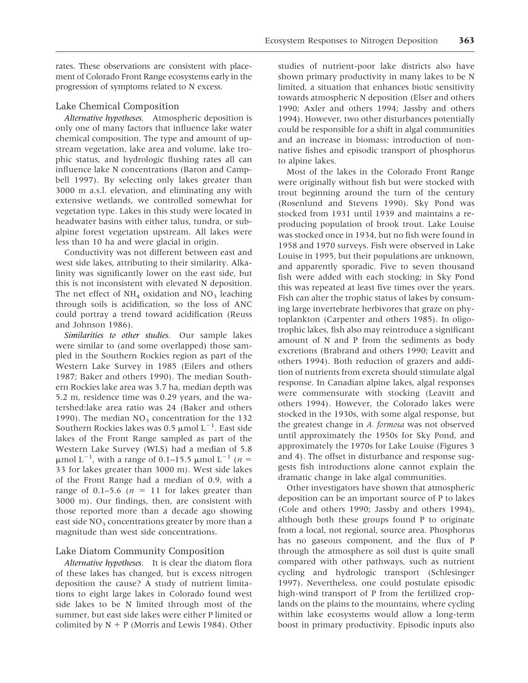rates. These observations are consistent with placement of Colorado Front Range ecosystems early in the progression of symptoms related to N excess.

#### Lake Chemical Composition

*Alternative hypotheses.* Atmospheric deposition is only one of many factors that influence lake water chemical composition. The type and amount of upstream vegetation, lake area and volume, lake trophic status, and hydrologic flushing rates all can influence lake N concentrations (Baron and Campbell 1997). By selecting only lakes greater than 3000 m a.s.l. elevation, and eliminating any with extensive wetlands, we controlled somewhat for vegetation type. Lakes in this study were located in headwater basins with either talus, tundra, or subalpine forest vegetation upstream. All lakes were less than 10 ha and were glacial in origin.

Conductivity was not different between east and west side lakes, attributing to their similarity. Alkalinity was significantly lower on the east side, but this is not inconsistent with elevated N deposition. The net effect of  $NH<sub>4</sub>$  oxidation and  $NO<sub>3</sub>$  leaching through soils is acidification, so the loss of ANC could portray a trend toward acidification (Reuss and Johnson 1986).

*Similarities to other studies.* Our sample lakes were similar to (and some overlapped) those sampled in the Southern Rockies region as part of the Western Lake Survey in 1985 (Eilers and others 1987; Baker and others 1990). The median Southern Rockies lake area was 3.7 ha, median depth was 5.2 m, residence time was 0.29 years, and the watershed:lake area ratio was 24 (Baker and others 1990). The median  $NO<sub>3</sub>$  concentration for the 132 Southern Rockies lakes was 0.5  $\mu$ mol L<sup>-1</sup>. East side lakes of the Front Range sampled as part of the Western Lake Survey (WLS) had a median of 5.8  $\mu$ mol L<sup>-1</sup>, with a range of 0.1–15.5  $\mu$ mol L<sup>-1</sup> (*n* = 33 for lakes greater than 3000 m). West side lakes of the Front Range had a median of 0.9, with a range of 0.1–5.6 ( $n = 11$  for lakes greater than 3000 m). Our findings, then, are consistent with those reported more than a decade ago showing east side  $NO<sub>3</sub>$  concentrations greater by more than a magnitude than west side concentrations.

#### Lake Diatom Community Composition

*Alternative hypotheses.* It is clear the diatom flora of these lakes has changed, but is excess nitrogen deposition the cause? A study of nutrient limitations to eight large lakes in Colorado found west side lakes to be N limited through most of the summer, but east side lakes were either P limited or colimited by  $N + P$  (Morris and Lewis 1984). Other

studies of nutrient-poor lake districts also have shown primary productivity in many lakes to be N limited, a situation that enhances biotic sensitivity towards atmospheric N deposition (Elser and others 1990; Axler and others 1994; Jassby and others 1994). However, two other disturbances potentially could be responsible for a shift in algal communities and an increase in biomass: introduction of nonnative fishes and episodic transport of phosphorus to alpine lakes.

Most of the lakes in the Colorado Front Range were originally without fish but were stocked with trout beginning around the turn of the century (Rosenlund and Stevens 1990). Sky Pond was stocked from 1931 until 1939 and maintains a reproducing population of brook trout. Lake Louise was stocked once in 1934, but no fish were found in 1958 and 1970 surveys. Fish were observed in Lake Louise in 1995, but their populations are unknown, and apparently sporadic. Five to seven thousand fish were added with each stocking; in Sky Pond this was repeated at least five times over the years. Fish can alter the trophic status of lakes by consuming large invertebrate herbivores that graze on phytoplankton (Carpenter and others 1985). In oligotrophic lakes, fish also may reintroduce a significant amount of N and P from the sediments as body excretions (Brabrand and others 1990; Leavitt and others 1994). Both reduction of grazers and addition of nutrients from excreta should stimulate algal response. In Canadian alpine lakes, algal responses were commensurate with stocking (Leavitt and others 1994). However, the Colorado lakes were stocked in the 1930s, with some algal response, but the greatest change in *A. formosa* was not observed until approximately the 1950s for Sky Pond, and approximately the 1970s for Lake Louise (Figures 3 and 4). The offset in disturbance and response suggests fish introductions alone cannot explain the dramatic change in lake algal communities.

Other investigators have shown that atmospheric deposition can be an important source of P to lakes (Cole and others 1990; Jassby and others 1994), although both these groups found P to originate from a local, not regional, source area. Phosphorus has no gaseous component, and the flux of P through the atmosphere as soil dust is quite small compared with other pathways, such as nutrient cycling and hydrologic transport (Schlesinger 1997). Nevertheless, one could postulate episodic high-wind transport of P from the fertilized croplands on the plains to the mountains, where cycling within lake ecosystems would allow a long-term boost in primary productivity. Episodic inputs also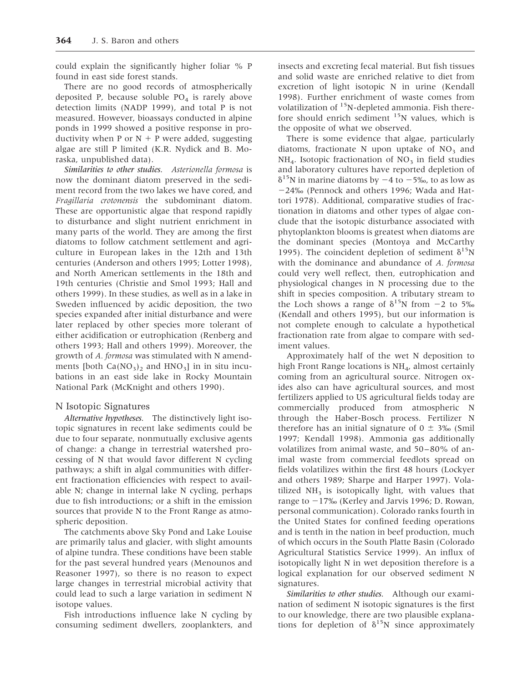could explain the significantly higher foliar % P found in east side forest stands.

There are no good records of atmospherically deposited P, because soluble  $PO<sub>4</sub>$  is rarely above detection limits (NADP 1999), and total P is not measured. However, bioassays conducted in alpine ponds in 1999 showed a positive response in productivity when P or  $N + P$  were added, suggesting algae are still P limited (K.R. Nydick and B. Moraska, unpublished data).

*Similarities to other studies. Asterionella formosa* is now the dominant diatom preserved in the sediment record from the two lakes we have cored, and *Fragillaria crotonensis* the subdominant diatom. These are opportunistic algae that respond rapidly to disturbance and slight nutrient enrichment in many parts of the world. They are among the first diatoms to follow catchment settlement and agriculture in European lakes in the 12th and 13th centuries (Anderson and others 1995; Lotter 1998), and North American settlements in the 18th and 19th centuries (Christie and Smol 1993; Hall and others 1999). In these studies, as well as in a lake in Sweden influenced by acidic deposition, the two species expanded after initial disturbance and were later replaced by other species more tolerant of either acidification or eutrophication (Renberg and others 1993; Hall and others 1999). Moreover, the growth of *A. formosa* was stimulated with N amendments [both  $Ca(NO<sub>3</sub>)<sub>2</sub>$  and  $HNO<sub>3</sub>$ ] in in situ incubations in an east side lake in Rocky Mountain National Park (McKnight and others 1990).

#### N Isotopic Signatures

*Alternative hypotheses.* The distinctively light isotopic signatures in recent lake sediments could be due to four separate, nonmutually exclusive agents of change: a change in terrestrial watershed processing of N that would favor different N cycling pathways; a shift in algal communities with different fractionation efficiencies with respect to available N; change in internal lake N cycling, perhaps due to fish introductions; or a shift in the emission sources that provide N to the Front Range as atmospheric deposition.

The catchments above Sky Pond and Lake Louise are primarily talus and glacier, with slight amounts of alpine tundra. These conditions have been stable for the past several hundred years (Menounos and Reasoner 1997), so there is no reason to expect large changes in terrestrial microbial activity that could lead to such a large variation in sediment N isotope values.

Fish introductions influence lake N cycling by consuming sediment dwellers, zooplankters, and insects and excreting fecal material. But fish tissues and solid waste are enriched relative to diet from excretion of light isotopic N in urine (Kendall 1998). Further enrichment of waste comes from volatilization of  $15N$ -depleted ammonia. Fish therefore should enrich sediment  $15N$  values, which is the opposite of what we observed.

There is some evidence that algae, particularly diatoms, fractionate N upon uptake of  $NO<sub>3</sub>$  and  $NH<sub>4</sub>$ . Isotopic fractionation of  $NO<sub>3</sub>$  in field studies and laboratory cultures have reported depletion of  $\delta^{15}$ N in marine diatoms by  $-4$  to  $-5\%$ , to as low as 224‰ (Pennock and others 1996; Wada and Hattori 1978). Additional, comparative studies of fractionation in diatoms and other types of algae conclude that the isotopic disturbance associated with phytoplankton blooms is greatest when diatoms are the dominant species (Montoya and McCarthy 1995). The coincident depletion of sediment  $\delta^{15}N$ with the dominance and abundance of *A. formosa* could very well reflect, then, eutrophication and physiological changes in N processing due to the shift in species composition. A tributary stream to the Loch shows a range of  $\delta^{15}N$  from  $-2$  to 5‰ (Kendall and others 1995), but our information is not complete enough to calculate a hypothetical fractionation rate from algae to compare with sediment values.

Approximately half of the wet N deposition to high Front Range locations is  $NH<sub>4</sub>$ , almost certainly coming from an agricultural source. Nitrogen oxides also can have agricultural sources, and most fertilizers applied to US agricultural fields today are commercially produced from atmospheric N through the Haber-Bosch process. Fertilizer N therefore has an initial signature of  $0 \pm 3\%$  (Smil 1997; Kendall 1998). Ammonia gas additionally volatilizes from animal waste, and 50–80% of animal waste from commercial feedlots spread on fields volatilizes within the first 48 hours (Lockyer and others 1989; Sharpe and Harper 1997). Volatilized  $NH<sub>3</sub>$  is isotopically light, with values that range to  $-17\%$  (Kerley and Jarvis 1996; D. Rowan, personal communication). Colorado ranks fourth in the United States for confined feeding operations and is tenth in the nation in beef production, much of which occurs in the South Platte Basin (Colorado Agricultural Statistics Service 1999). An influx of isotopically light N in wet deposition therefore is a logical explanation for our observed sediment N signatures.

*Similarities to other studies.* Although our examination of sediment N isotopic signatures is the first to our knowledge, there are two plausible explanations for depletion of  $\delta^{15}N$  since approximately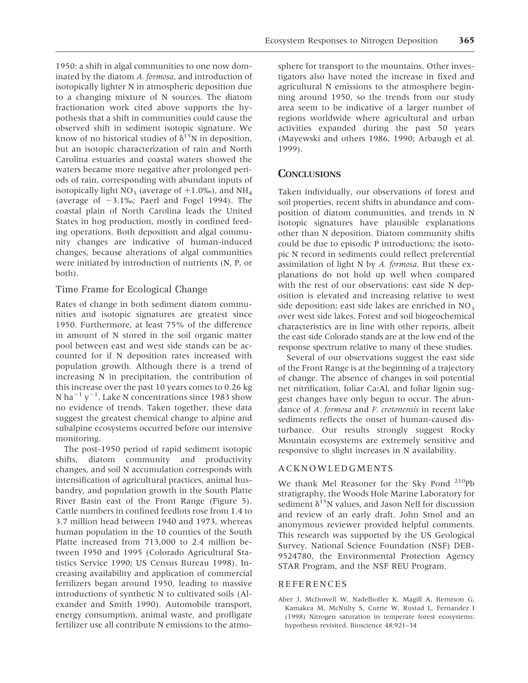1950: a shift in algal communities to one now dominated by the diatom *A. formosa*, and introduction of isotopically lighter N in atmospheric deposition due to a changing mixture of N sources. The diatom fractionation work cited above supports the hypothesis that a shift in communities could cause the observed shift in sediment isotopic signature. We know of no historical studies of  $\delta^{15}N$  in deposition, but an isotopic characterization of rain and North Carolina estuaries and coastal waters showed the waters became more negative after prolonged periods of rain, corresponding with abundant inputs of isotopically light  $NO_3$  (average of  $+1.0\%$ ), and  $NH_4$ (average of  $-3.1\%$ ); Paerl and Fogel 1994). The coastal plain of North Carolina leads the United States in hog production, mostly in confined feeding operations. Both deposition and algal community changes are indicative of human-induced changes, because alterations of algal communities were initiated by introduction of nutrients (N, P, or both).

#### Time Frame for Ecological Change

Rates of change in both sediment diatom communities and isotopic signatures are greatest since 1950. Furthermore, at least 75% of the difference in amount of N stored in the soil organic matter pool between east and west side stands can be accounted for if N deposition rates increased with population growth. Although there is a trend of increasing N in precipitation, the contribution of this increase over the past 10 years comes to 0.26 kg N ha<sup>-1</sup> y<sup>-1</sup>. Lake N concentrations since 1983 show no evidence of trends. Taken together, these data suggest the greatest chemical change to alpine and subalpine ecosystems occurred before our intensive monitoring.

The post-1950 period of rapid sediment isotopic shifts, diatom community and productivity changes, and soil N accumulation corresponds with intensification of agricultural practices, animal husbandry, and population growth in the South Platte River Basin east of the Front Range (Figure 5). Cattle numbers in confined feedlots rose from 1.4 to 3.7 million head between 1940 and 1973, whereas human population in the 10 counties of the South Platte increased from 713,000 to 2.4 million between 1950 and 1995 (Colorado Agricultural Statistics Service 1990; US Census Bureau 1998). Increasing availability and application of commercial fertilizers began around 1950, leading to massive introductions of synthetic N to cultivated soils (Alexander and Smith 1990). Automobile transport, energy consumption, animal waste, and profligate fertilizer use all contribute N emissions to the atmo-

sphere for transport to the mountains. Other investigators also have noted the increase in fixed and agricultural N emissions to the atmosphere beginning around 1950, so the trends from our study area seem to be indicative of a larger number of regions worldwide where agricultural and urban activities expanded during the past 50 years (Mayewski and others 1986, 1990; Arbaugh et al. 1999).

## **CONCLUSIONS**

Taken individually, our observations of forest and soil properties, recent shifts in abundance and composition of diatom communities, and trends in N isotopic signatures have plausible explanations other than N deposition. Diatom community shifts could be due to episodic P introductions; the isotopic N record in sediments could reflect preferential assimilation of light N by *A. formosa*. But these explanations do not hold up well when compared with the rest of our observations: east side N deposition is elevated and increasing relative to west side deposition; east side lakes are enriched in  $NO<sub>3</sub>$ over west side lakes. Forest and soil biogeochemical characteristics are in line with other reports, albeit the east side Colorado stands are at the low end of the response spectrum relative to many of these studies.

Several of our observations suggest the east side of the Front Range is at the beginning of a trajectory of change. The absence of changes in soil potential net nitrification, foliar Ca:Al, and foliar lignin suggest changes have only begun to occur. The abundance of *A. formosa* and *F. crotonensis* in recent lake sediments reflects the onset of human-caused disturbance. Our results strongly suggest Rocky Mountain ecosystems are extremely sensitive and responsive to slight increases in N availability.

#### ACKNOWLEDGMENTS

We thank Mel Reasoner for the Sky Pond <sup>210</sup>Pb stratigraphy, the Woods Hole Marine Laboratory for sediment  $\delta^{15}N$  values, and Jason Neff for discussion and review of an early draft. John Smol and an anonymous reviewer provided helpful comments. This research was supported by the US Geological Survey, National Science Foundation (NSF) DEB-9524780, the Environmental Protection Agency STAR Program, and the NSF REU Program.

#### REFERENCES

Aber J, McDowell W, Nadelhoffer K, Magill A, Berntson G, Kamakea M, McNulty S, Currie W, Rustad L, Fernandez I (1998) Nitrogen saturation in temperate forest ecosystems: hypothesis revisited. Bioscience 48:921–34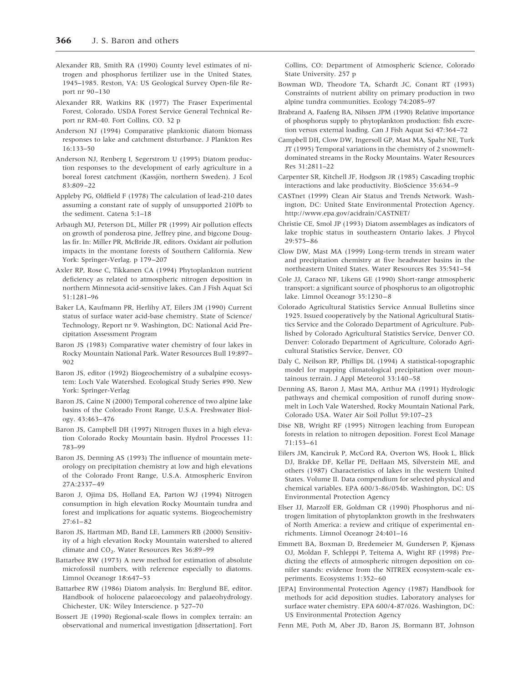- Alexander RB, Smith RA (1990) County level estimates of nitrogen and phosphorus fertilizer use in the United States, 1945–1985. Reston, VA: US Geological Survey Open-file Report nr 90–130
- Alexander RR, Watkins RK (1977) The Fraser Experimental Forest, Colorado. USDA Forest Service General Technical Report nr RM-40. Fort Collins, CO. 32 p
- Anderson NJ (1994) Comparative planktonic diatom biomass responses to lake and catchment disturbance. J Plankton Res 16:133–50
- Anderson NJ, Renberg I, Segerstrom U (1995) Diatom production responses to the development of early agriculture in a boreal forest catchment (Kassjön, northern Sweden). J Ecol 83:809–22
- Appleby PG, Oldfield F (1978) The calculation of lead-210 dates assuming a constant rate of supply of unsupported 210Pb to the sediment. Catena 5:1–18
- Arbaugh MJ, Peterson DL, Miller PR (1999) Air pollution effects on growth of ponderosa pine, Jeffrey pine, and bigcone Douglas fir. In: Miller PR, McBride JR, editors. Oxidant air pollution impacts in the montane forests of Southern California. New York: Springer-Verlag. p 179–207
- Axler RP, Rose C, Tikkanen CA (1994) Phytoplankton nutrient deficiency as related to atmospheric nitrogen deposition in northern Minnesota acid-sensitive lakes. Can J Fish Aquat Sci 51:1281–96
- Baker LA, Kaufmann PR, Herlihy AT, Eilers JM (1990) Current status of surface water acid-base chemistry. State of Science/ Technology, Report nr 9. Washington, DC: National Acid Precipitation Assessment Program
- Baron JS (1983) Comparative water chemistry of four lakes in Rocky Mountain National Park. Water Resources Bull 19:897– 902
- Baron JS, editor (1992) Biogeochemistry of a subalpine ecosystem: Loch Vale Watershed. Ecological Study Series #90. New York: Springer-Verlag
- Baron JS, Caine N (2000) Temporal coherence of two alpine lake basins of the Colorado Front Range, U.S.A. Freshwater Biology. 43:463–476
- Baron JS, Campbell DH (1997) Nitrogen fluxes in a high elevation Colorado Rocky Mountain basin. Hydrol Processes 11: 783–99
- Baron JS, Denning AS (1993) The influence of mountain meteorology on precipitation chemistry at low and high elevations of the Colorado Front Range, U.S.A. Atmospheric Environ 27A:2337–49
- Baron J, Ojima DS, Holland EA, Parton WJ (1994) Nitrogen consumption in high elevation Rocky Mountain tundra and forest and implications for aquatic systems. Biogeochemistry 27:61–82
- Baron JS, Hartman MD, Band LE, Lammers RB (2000) Sensitivity of a high elevation Rocky Mountain watershed to altered climate and CO<sub>2</sub>. Water Resources Res 36:89-99
- Battarbee RW (1973) A new method for estimation of absolute microfossil numbers, with reference especially to diatoms. Limnol Oceanogr 18:647–53
- Battarbee RW (1986) Diatom analysis. In: Berglund BE, editor. Handbook of holocene palaeoecology and palaeohydrology. Chichester, UK: Wiley Interscience. p 527–70
- Bossert JE (1990) Regional-scale flows in complex terrain: an observational and numerical investigation [dissertation]. Fort

Collins, CO: Department of Atmospheric Science, Colorado State University. 257 p

- Bowman WD, Theodore TA, Schardt JC, Conant RT (1993) Constraints of nutrient ability on primary production in two alpine tundra communities. Ecology 74:2085–97
- Brabrand A, Faafeng BA, Nilssen JPM (1990) Relative importance of phosphorus supply to phytoplankton production: fish excretion versus external loading. Can J Fish Aquat Sci 47:364–72
- Campbell DH, Clow DW, Ingersoll GP, Mast MA, Spahr NE, Turk JT (1995) Temporal variations in the chemistry of 2 snowmeltdominated streams in the Rocky Mountains. Water Resources Res 31:2811–22
- Carpenter SR, Kitchell JF, Hodgson JR (1985) Cascading trophic interactions and lake productivity. BioScience 35:634–9
- CASTnet (1999) Clean Air Status and Trends Network. Washington, DC: United State Environmental Protection Agency. http://www.epa.gov/acidrain/CASTNET/
- Christie CE, Smol JP (1993) Diatom assemblages as indicators of lake trophic status in southeastern Ontario lakes. J Phycol 29:575–86
- Clow DW, Mast MA (1999) Long-term trends in stream water and precipitation chemistry at five headwater basins in the northeastern United States. Water Resources Res 35:541–54
- Cole JJ, Caraco NF, Likens GE (1990) Short-range atmospheric transport: a significant source of phosphorus to an oligotrophic lake. Limnol Oceanogr 35:1230–8
- Colorado Agricultural Statistics Service Annual Bulletins since 1925. Issued cooperatively by the National Agricultural Statistics Service and the Colorado Department of Agriculture. Published by Colorado Agricultural Statistics Service, Denver CO. Denver: Colorado Department of Agriculture, Colorado Agricultural Statistics Service, Denver, CO
- Daly C, Neilson RP, Phillips DL (1994) A statistical-topographic model for mapping climatological precipitation over mountainous terrain. J Appl Meteorol 33:140–58
- Denning AS, Baron J, Mast MA, Arthur MA (1991) Hydrologic pathways and chemical composition of runoff during snowmelt in Loch Vale Watershed, Rocky Mountain National Park, Colorado USA. Water Air Soil Pollut 59:107–23
- Dise NB, Wright RF (1995) Nitrogen leaching from European forests in relation to nitrogen deposition. Forest Ecol Manage 71:153–61
- Eilers JM, Kanciruk P, McCord RA, Overton WS, Hook L, Blick DJ, Brakke DF, Kellar PE, DeHaan MS, Silverstein ME, and others (1987) Characteristics of lakes in the western United States. Volume II. Data compendium for selected physical and chemical variables. EPA 600/3-86/054b. Washington, DC: US Environmental Protection Agency
- Elser JJ, Marzolf ER, Goldman CR (1990) Phosphorus and nitrogen limitation of phytoplankton growth in the freshwaters of North America: a review and critique of experimental enrichments. Limnol Oceanogr 24:401–16
- Emmett BA, Boxman D, Bredemeier M, Gundersen P, Kjønass OJ, Moldan F, Schleppi P, Teitema A, Wight RF (1998) Predicting the effects of atmospheric nitrogen deposition on conifer stands: evidence from the NITREX ecosystem-scale experiments. Ecosystems 1:352–60
- [EPA] Environmental Protection Agency (1987) Handbook for methods for acid deposition studies. Laboratory analyses for surface water chemistry. EPA 600/4-87/026. Washington, DC: US Environmental Protection Agency
- Fenn ME, Poth M, Aber JD, Baron JS, Bormann BT, Johnson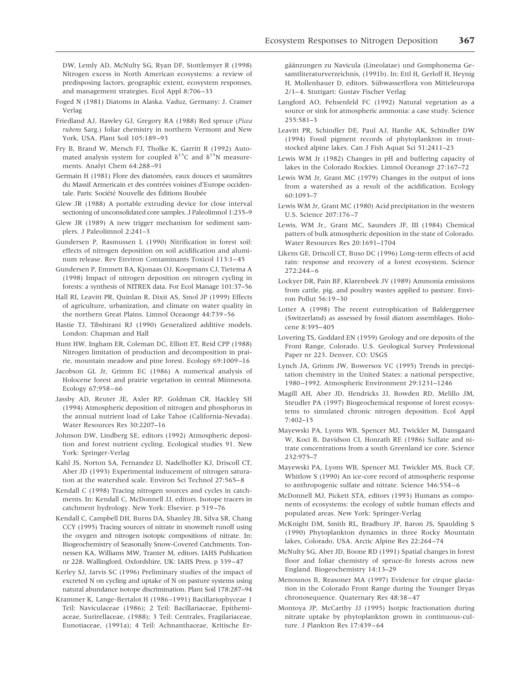DW, Lemly AD, McNulty SG, Ryan DF, Stottlemyer R (1998) Nitrogen excess in North American ecosystems: a review of predisposing factors, geographic extent, ecosystem responses, and management strategies. Ecol Appl 8:706–33

- Foged N (1981) Diatoms in Alaska. Vaduz, Germany: J. Cramer Verlag
- Friedland AJ, Hawley GJ, Gregory RA (1988) Red spruce (*Picea rubens* Sarg.) foliar chemistry in northern Vermont and New York, USA. Plant Soil 105:189–93
- Fry B, Brand W, Mersch FJ, Tholke K, Garritt R (1992) Automated analysis system for coupled  $\delta^{13}C$  and  $\delta^{15}N$  measurements. Analyt Chem 64:288–91
- Germain H (1981) Flore des diatomées, eaux douces et saumâtres du Massif Armericain et des contrées voisines d'Europe occidentale. Paris: Société Nouvelle des Éditions Boubée
- Glew JR (1988) A portable extruding device for close interval sectioning of unconsolidated core samples. J Paleolimnol 1:235–9
- Glew JR (1989) A new trigger mechanism for sediment samplers. J Paleolimnol 2:241–3
- Gundersen P, Rasmussen L (1990) Nitrification in forest soil: effects of nitrogen deposition on soil acidification and aluminum release. Rev Environ Contaminants Toxicol 113:1–45
- Gundersen P, Emmett BA, Kjonaas OJ, Koopmans CJ, Tietema A (1998) Impact of nitrogen deposition on nitrogen cycling in forests: a synthesis of NITREX data. For Ecol Manage 101:37–56
- Hall RI, Leavitt PR, Quinlan R, Dixit AS, Smol JP (1999) Effects of agriculture, urbanization, and climate on water quality in the northern Great Plains. Limnol Oceaongr 44:739–56
- Hastie TJ, Tibshirani RJ (1990) Generalized additive models. London: Chapman and Hall
- Hunt HW, Ingham ER, Coleman DC, Elliott ET, Reid CPP (1988) Nitrogen limitation of production and decomposition in prairie, mountain meadow and pine forest. Ecology 69:1009–16
- Jacobson GL Jr, Grimm EC (1986) A numerical analysis of Holocene forest and prairie vegetation in central Minnesota. Ecology 67:958–66
- Jassby AD, Reuter JE, Axler RP, Goldman CR, Hackley SH (1994) Atmospheric deposition of nitrogen and phosphorus in the annual nutrient load of Lake Tahoe (California-Nevada). Water Resources Res 30:2207–16
- Johnson DW, Lindberg SE, editors (1992) Atmospheric deposition and forest nutrient cycling. Ecological studies 91. New York: Springer-Verlag
- Kahl JS, Norton SA, Fernandez IJ, Nadelhoffer KJ, Driscoll CT, Aber JD (1993) Experimental inducement of nitrogen saturation at the watershed scale. Environ Sci Technol 27:565–8
- Kendall C (1998) Tracing nitrogen sources and cycles in catchments. In: Kendall C, McDonnell JJ, editors. Isotope tracers in catchment hydrology. New York: Elsevier. p 519–76
- Kendall C, Campbell DH, Burns DA, Shanley JB, Silva SR, Chang CCY (1995) Tracing sources of nitrate in snowmelt runoff using the oxygen and nitrogen isotopic compositions of nitrate. In: Biogeochemistry of Seasonally Snow-Covered Catchments. Tonnessen KA, Williams MW, Tranter M, editors. IAHS Publication nr 228. Wallingford, Oxfordshire, UK: IAHS Press. p 339–47
- Kerley SJ, Jarvis SC (1996) Preliminary studies of the impact of excreted N on cycling and uptake of N on pasture systems using natural abundance isotope discrimination. Plant Soil 178:287–94
- Krammer K, Lange-Bertalot H (1986–1991) Bacillariophyceae 1 Teil: Naviculaceae (1986); 2 Teil: Bacillariaceae, Epithemiaceae, Surirellaceae, (1988); 3 Teil: Centrales, Fragilariaceae, Eunotiaceae, (1991a); 4 Teil: Achnanthaceae, Kritische Er-

gäänzungen zu Navicula (Lineolatae) und Gomphonema Gesamtliteraturverzeichnis, (1991b). In: Ettl H, Gerloff H, Heynig H, Mollenhauer D, editors. Sübwasserflora von Mitteleuropa 2/1–4. Stuttgart: Gustav Fischer Verlag

- Langford AO, Fehsenfeld FC (1992) Natural vegetation as a source or sink for atmospheric ammonia: a case study. Science 255:581–3
- Leavitt PR, Schindler DE, Paul AJ, Hardie AK, Schindler DW (1994) Fossil pigment records of phytoplankton in troutstocked alpine lakes. Can J Fish Aquat Sci 51:2411–23
- Lewis WM Jr (1982) Changes in pH and buffering capacity of lakes in the Colorado Rockies. Limnol Oceanogr 27:167–72
- Lewis WM Jr, Grant MC (1979) Changes in the output of ions from a watershed as a result of the acidification. Ecology 60:1093–7
- Lewis WM Jr, Grant MC (1980) Acid precipitation in the western U.S. Science 207:176–7
- Lewis, WM Jr., Grant MC, Saunders JF, III (1984) Chemical patters of bulk atmospheric deposition in the state of Colorado. Water Resources Res 20:1691–1704
- Likens GE, Driscoll CT, Buso DC (1996) Long-term effects of acid rain: response and recovery of a forest ecosystem. Science 272:244–6
- Lockyer DR, Pain BF, Klarenbeek JV (1989) Ammonia emissions from cattle, pig, and poultry wastes applied to pasture. Environ Pollut 56:19–30
- Lotter A (1998) The recent eutrophication of Balderggersee (Switzerland) as assessed by fossil diatom assemblages. Holocene 8:395–405
- Lovering TS, Goddard EN (1959) Geology and ore deposits of the Front Range, Colorado. U.S. Geological Survey Professional Paper nr 223. Denver, CO: USGS
- Lynch JA, Grimm JW, Bowersox VC (1995) Trends in precipitation chemistry in the United States: a national perspective, 1980–1992. Atmospheric Environment 29:1231–1246
- Magill AH, Aber JD, Hendricks JJ, Bowden RD, Melillo JM, Steudler PA (1997) Biogeochemical response of forest ecosystems to simulated chronic nitrogen deposition. Ecol Appl 7:402–15
- Mayewski PA, Lyons WB, Spencer MJ, Twickler M, Dansgaard W, Koci B, Davidson CI, Honrath RE (1986) Sulfate and nitrate concentrations from a south Greenland ice core. Science 232:975–7
- Mayewski PA, Lyons WB, Spencer MJ, Twickler MS, Buck CF, Whitlow S (1990) An ice-core record of atmospheric response to anthropogenic sulfate and nitrate. Science 346:554–6
- McDonnell MJ, Pickett STA, editors (1993) Humans as components of ecosystems: the ecology of subtle human effects and populated areas. New York: Springer-Verlag
- McKnight DM, Smith RL, Bradbury JP, Baron JS, Spaulding S (1990) Phytoplankton dynamics in three Rocky Mountain lakes, Colorado, USA. Arctic Alpine Res 22:264–74
- McNulty SG, Aber JD, Boone RD (1991) Spatial changes in forest floor and foliar chemistry of spruce-fir forests across new England. Biogeochemistry 14:13–29
- Menounos B, Reasoner MA (1997) Evidence for cirque glaciation in the Colorado Front Range during the Younger Dryas chronosequence. Quaternary Res 48:38–47
- Montoya JP, McCarthy JJ (1995) Isotpic fractionation during nitrate uptake by phytoplankton grown in continuous-culture. J Plankton Res 17:439–64